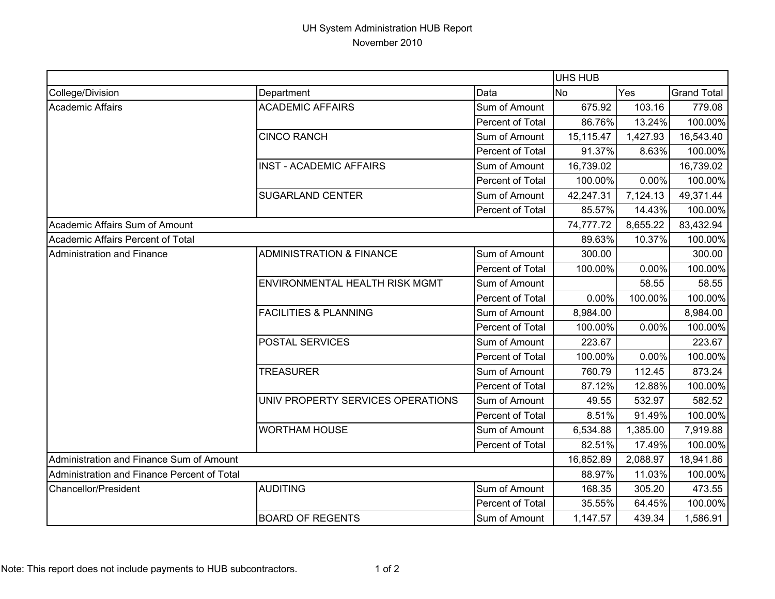## UH System Administration HUB Report November 2010

|                                             |                                     |                  | <b>UHS HUB</b> |          |                    |
|---------------------------------------------|-------------------------------------|------------------|----------------|----------|--------------------|
| College/Division                            | Department                          | Data             | <b>No</b>      | Yes      | <b>Grand Total</b> |
| <b>Academic Affairs</b>                     | <b>ACADEMIC AFFAIRS</b>             | Sum of Amount    | 675.92         | 103.16   | 779.08             |
|                                             |                                     | Percent of Total | 86.76%         | 13.24%   | 100.00%            |
|                                             | <b>CINCO RANCH</b>                  | Sum of Amount    | 15,115.47      | 1,427.93 | 16,543.40          |
|                                             |                                     | Percent of Total | 91.37%         | 8.63%    | 100.00%            |
|                                             | <b>INST - ACADEMIC AFFAIRS</b>      | Sum of Amount    | 16,739.02      |          | 16,739.02          |
|                                             |                                     | Percent of Total | 100.00%        | 0.00%    | 100.00%            |
|                                             | <b>SUGARLAND CENTER</b>             | Sum of Amount    | 42,247.31      | 7,124.13 | 49,371.44          |
|                                             |                                     | Percent of Total | 85.57%         | 14.43%   | 100.00%            |
| Academic Affairs Sum of Amount              |                                     |                  | 74,777.72      | 8,655.22 | 83,432.94          |
| Academic Affairs Percent of Total           |                                     |                  | 89.63%         | 10.37%   | 100.00%            |
| <b>Administration and Finance</b>           | <b>ADMINISTRATION &amp; FINANCE</b> | Sum of Amount    | 300.00         |          | 300.00             |
|                                             |                                     | Percent of Total | 100.00%        | 0.00%    | 100.00%            |
|                                             | ENVIRONMENTAL HEALTH RISK MGMT      | Sum of Amount    |                | 58.55    | 58.55              |
|                                             |                                     | Percent of Total | 0.00%          | 100.00%  | 100.00%            |
|                                             | <b>FACILITIES &amp; PLANNING</b>    | Sum of Amount    | 8,984.00       |          | 8,984.00           |
|                                             |                                     | Percent of Total | 100.00%        | 0.00%    | 100.00%            |
|                                             | POSTAL SERVICES                     | Sum of Amount    | 223.67         |          | 223.67             |
|                                             |                                     | Percent of Total | 100.00%        | 0.00%    | 100.00%            |
|                                             | <b>TREASURER</b>                    | Sum of Amount    | 760.79         | 112.45   | 873.24             |
|                                             |                                     | Percent of Total | 87.12%         | 12.88%   | 100.00%            |
|                                             | UNIV PROPERTY SERVICES OPERATIONS   | Sum of Amount    | 49.55          | 532.97   | 582.52             |
|                                             |                                     | Percent of Total | 8.51%          | 91.49%   | 100.00%            |
|                                             | <b>WORTHAM HOUSE</b>                | Sum of Amount    | 6,534.88       | 1,385.00 | 7,919.88           |
|                                             |                                     | Percent of Total | 82.51%         | 17.49%   | 100.00%            |
| Administration and Finance Sum of Amount    |                                     |                  | 16,852.89      | 2,088.97 | 18,941.86          |
| Administration and Finance Percent of Total |                                     | 88.97%           | 11.03%         | 100.00%  |                    |
| Chancellor/President                        | <b>AUDITING</b>                     | Sum of Amount    | 168.35         | 305.20   | 473.55             |
|                                             |                                     | Percent of Total | 35.55%         | 64.45%   | 100.00%            |
|                                             | <b>BOARD OF REGENTS</b>             | Sum of Amount    | 1,147.57       | 439.34   | 1,586.91           |